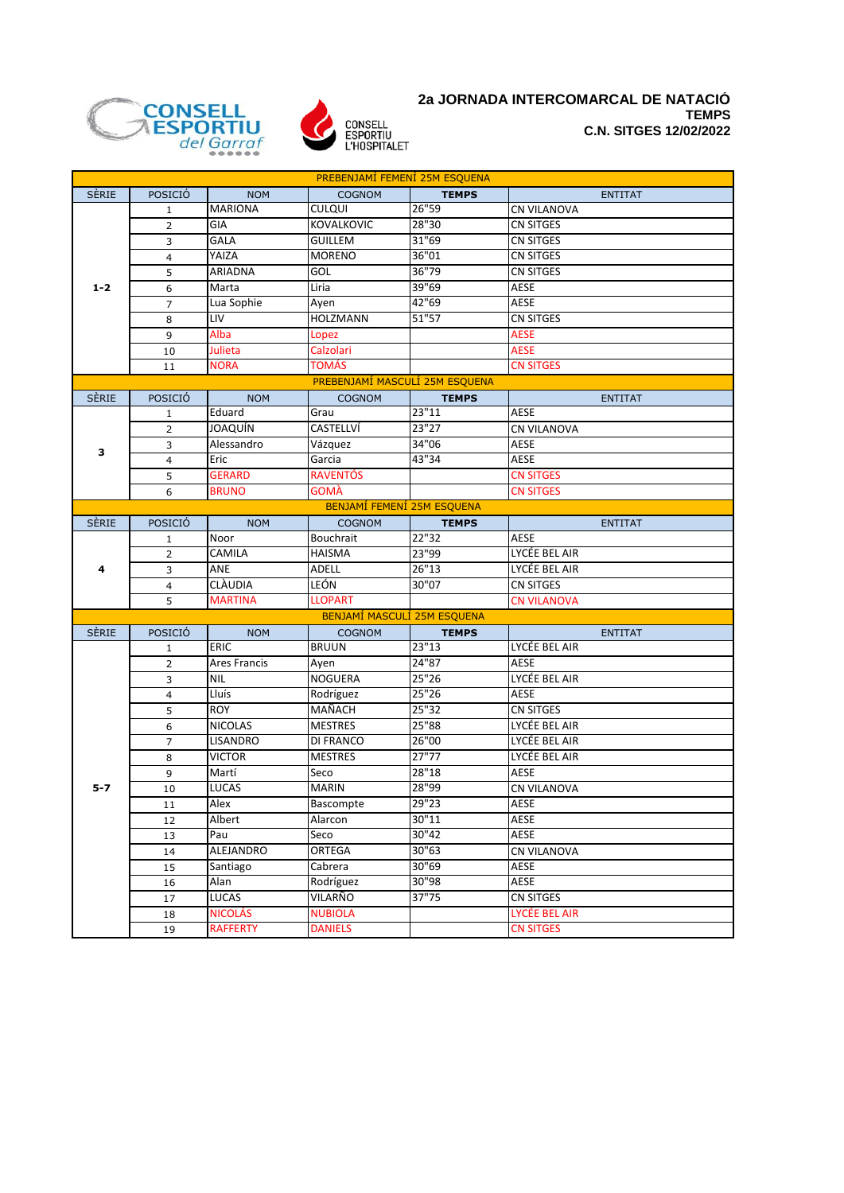



## **2a JORNADA INTERCOMARCAL DE NATACIÓ TEMPS C.N. SITGES 12/02/2022**

| PREBENJAMÍ FEMENÍ 25M ESQUENA |                |                              |                                    |                 |                                   |
|-------------------------------|----------------|------------------------------|------------------------------------|-----------------|-----------------------------------|
| <b>SÈRIE</b>                  | POSICIÓ        | <b>NOM</b>                   | <b>COGNOM</b>                      | <b>TEMPS</b>    | <b>ENTITAT</b>                    |
|                               | 1              | <b>MARIONA</b>               | <b>CULQUI</b>                      | 26"59           | <b>CN VILANOVA</b>                |
|                               | $\overline{2}$ | GIA                          | <b>KOVALKOVIC</b>                  | 28"30           | <b>CN SITGES</b>                  |
|                               | 3              | <b>GALA</b>                  | <b>GUILLEM</b>                     | 31"69           | <b>CN SITGES</b>                  |
| $1 - 2$                       | 4              | YAIZA                        | <b>MORENO</b>                      | 36"01           | CN SITGES                         |
|                               | 5              | ARIADNA                      | GOL                                | 36"79           | <b>CN SITGES</b>                  |
|                               | 6              | Marta                        | Liria                              | 39"69           | <b>AESE</b>                       |
|                               | $\overline{7}$ | Lua Sophie                   | Ayen                               | 42"69           | AESE                              |
|                               | 8              | <b>LIV</b>                   | <b>HOLZMANN</b>                    | 51"57           | <b>CN SITGES</b>                  |
|                               | 9              | Alba                         | Lopez                              |                 | <b>AESE</b>                       |
|                               | 10             | Julieta                      | Calzolari                          |                 | <b>AESE</b>                       |
|                               | 11             | <b>NORA</b>                  | <b>TOMÁS</b>                       |                 | <b>CN SITGES</b>                  |
|                               |                |                              | PREBENJAMÍ MASCULÍ 25M ESQUENA     |                 |                                   |
| <b>SÈRIE</b>                  | POSICIÓ        | <b>NOM</b>                   | <b>COGNOM</b>                      | <b>TEMPS</b>    | <b>ENTITAT</b>                    |
|                               | 1              | Eduard                       | Grau                               | 23"11           | <b>AESE</b>                       |
|                               | $\overline{2}$ | <b>JOAQUÍN</b>               | CASTELLVÍ                          | 23"27           | <b>CN VILANOVA</b>                |
| 3                             | 3              | Alessandro                   | Vázquez                            | 34"06           | AESE                              |
|                               | $\overline{4}$ | Eric                         | Garcia                             | 43"34           | AESE                              |
|                               | 5              | <b>GERARD</b>                | <b>RAVENTÓS</b>                    |                 | <b>CN SITGES</b>                  |
|                               | 6              | <b>BRUNO</b>                 | <b>GOMÀ</b>                        |                 | <b>CN SITGES</b>                  |
|                               |                |                              | BENJAMÍ FEMENÍ 25M ESQUENA         |                 |                                   |
| <b>SERIE</b>                  | POSICIÓ        | <b>NOM</b>                   | <b>COGNOM</b>                      | <b>TEMPS</b>    | <b>ENTITAT</b>                    |
|                               | $\mathbf{1}$   | Noor                         | Bouchrait                          | 22"32           | <b>AESE</b>                       |
|                               | 2              | CAMILA                       | <b>HAISMA</b>                      | 23"99           | LYCÉE BEL AIR                     |
| 4                             | 3              | ANE                          | <b>ADELL</b>                       | 26"13           | LYCÉE BEL AIR                     |
|                               | $\overline{4}$ | <b>CLAUDIA</b>               | LEÓN                               | 30"07           | <b>CN SITGES</b>                  |
|                               | 5              | <b>MARTINA</b>               | <b>LLOPART</b>                     |                 | <b>CN VILANOVA</b>                |
|                               |                |                              | BENJAMÍ MASCULÍ 25M ESQUENA        |                 |                                   |
| <b>SÈRIE</b>                  | POSICIÓ        | <b>NOM</b>                   | <b>COGNOM</b>                      | <b>TEMPS</b>    | <b>ENTITAT</b>                    |
|                               | $\mathbf 1$    | ERIC                         | <b>BRUUN</b>                       | 23"13           | LYCÉE BEL AIR                     |
|                               | $\overline{2}$ | Ares Francis                 | Ayen                               | 24"87           | AESE                              |
|                               | 3              | <b>NIL</b>                   | <b>NOGUERA</b>                     | 25"26           | LYCÉE BEL AIR                     |
|                               | $\overline{4}$ | Lluís                        | Rodríguez                          | 25"26           | AESE                              |
|                               | 5              | <b>ROY</b><br><b>NICOLAS</b> | MAÑACH                             | 25"32<br>25"88  | <b>CN SITGES</b><br>LYCÉE BEL AIR |
|                               | 6              |                              | <b>MESTRES</b><br><b>DI FRANCO</b> | 26"00           |                                   |
|                               | 7              | LISANDRO<br><b>VICTOR</b>    |                                    | 27"77           | LYCÉE BEL AIR<br>LYCÉE BEL AIR    |
|                               | 8              |                              | <b>MESTRES</b>                     | 28"18           |                                   |
| $5 - 7$                       | 9              | Martí<br><b>LUCAS</b>        | Seco<br><b>MARIN</b>               | 28"99           | AESE<br><b>CN VILANOVA</b>        |
|                               | 10             | Alex                         |                                    | 29"23           | AESE                              |
|                               | $11\,$         |                              | Bascompte                          |                 |                                   |
|                               | 12             | Albert<br>Pau                | Alarcon<br>Seco                    | 30"11<br>30''42 | AESE<br>AESE                      |
|                               | 13             | ALEJANDRO                    | ORTEGA                             | 30"63           | <b>CN VILANOVA</b>                |
|                               | 14             | Santiago                     | Cabrera                            | 30"69           | AESE                              |
|                               | 15             | Alan                         | Rodríguez                          | 30"98           | AESE                              |
|                               | 16             | LUCAS                        | VILARÑO                            | 37"75           | <b>CN SITGES</b>                  |
|                               | 17             | <b>NICOLÁS</b>               | <b>NUBIOLA</b>                     |                 | LYCÉE BEL AIR                     |
|                               | 18             | <b>RAFFERTY</b>              | <b>DANIELS</b>                     |                 | <b>CN SITGES</b>                  |
|                               | 19             |                              |                                    |                 |                                   |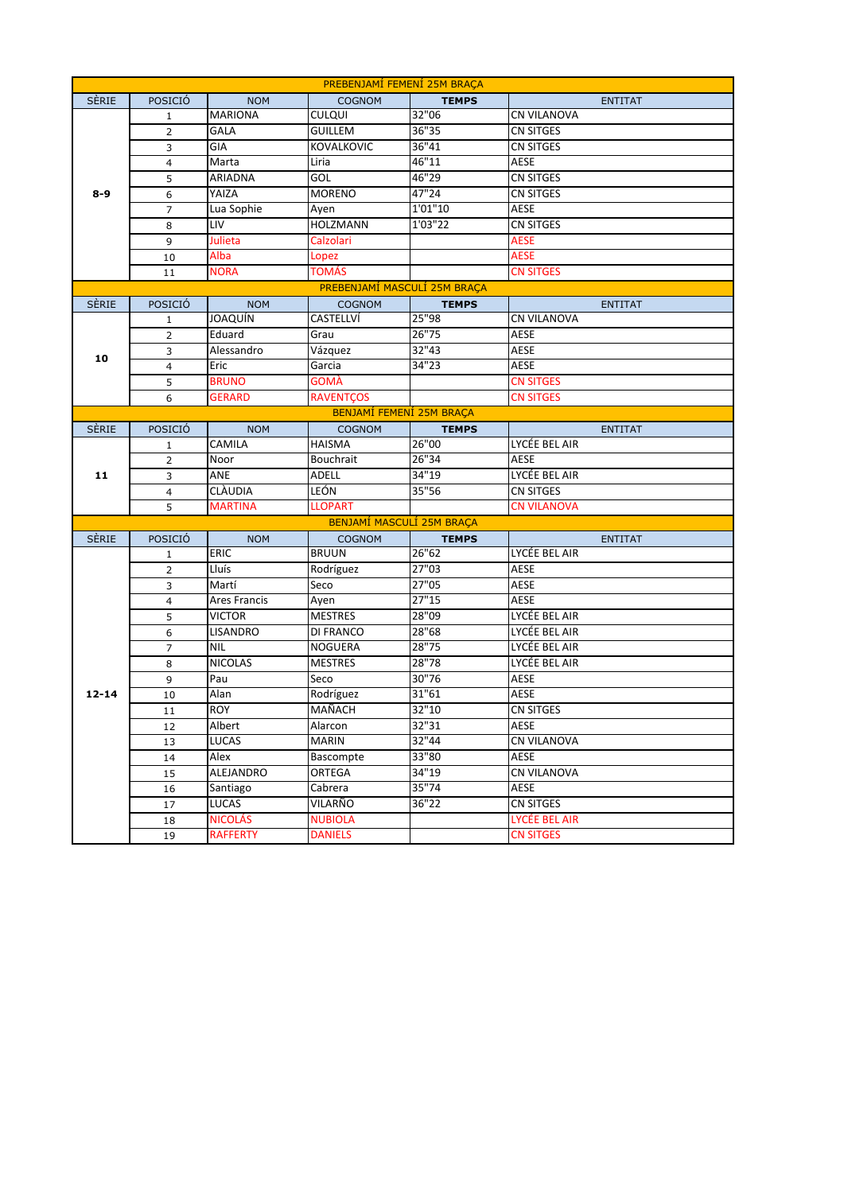| PREBENJAMI FEMENI 25M BRACA |                 |                    |                               |                       |                                 |
|-----------------------------|-----------------|--------------------|-------------------------------|-----------------------|---------------------------------|
| <b>SÈRIE</b>                | POSICIÓ         | <b>NOM</b>         | <b>COGNOM</b>                 | <b>TEMPS</b>          | <b>ENTITAT</b>                  |
|                             | $\mathbf{1}$    | <b>MARIONA</b>     | <b>CULQUI</b>                 | 32"06                 | CN VILANOVA                     |
|                             | $\overline{2}$  | <b>GALA</b>        | <b>GUILLEM</b>                | 36"35                 | CN SITGES                       |
|                             | 3               | GIA                | <b>KOVALKOVIC</b>             | 36"41                 | CN SITGES                       |
| $8-9$                       | $\overline{4}$  | Marta              | Liria                         | 46"11                 | AESE                            |
|                             | 5               | ARIADNA            | GOL                           | 46"29                 | CN SITGES                       |
|                             | 6               | YAIZA              | <b>MORENO</b>                 | 47"24                 | CN SITGES                       |
|                             | $\overline{7}$  | Lua Sophie         | Ayen                          | 1'01''10              | AESE                            |
|                             | 8               | LIV                | HOLZMANN                      | 1'03"22               | CN SITGES                       |
|                             | 9               | Julieta            | Calzolari                     |                       | <b>AESE</b>                     |
|                             | 10              | Alba               | Lopez                         |                       | <b>AESE</b>                     |
|                             | 11              | <b>NORA</b>        | TOMÁS                         |                       | <b>CN SITGES</b>                |
|                             |                 |                    | PREBENJAMÍ MASCULÍ 25M BRAÇA  |                       |                                 |
| <b>SÈRIE</b>                | POSICIÓ         | <b>NOM</b>         | <b>COGNOM</b>                 | <b>TEMPS</b>          | <b>ENTITAT</b>                  |
|                             | $\mathbf{1}$    | <b>JOAQUÍN</b>     | CASTELLVÍ                     | 25"98                 | CN VILANOVA                     |
|                             | $\overline{2}$  | Eduard             | Grau                          | 26"75                 | AESE                            |
| 10                          | 3               | Alessandro         | Vázquez                       | 32''43                | AESE                            |
|                             | $\overline{4}$  | Eric               | Garcia                        | 34"23                 | AESE                            |
|                             | 5               | <b>BRUNO</b>       | GOMÀ                          |                       | <b>CN SITGES</b>                |
|                             | 6               | <b>GERARD</b>      | <b>RAVENTÇOS</b>              |                       | <b>CN SITGES</b>                |
|                             |                 |                    | BENJAMÍ FEMENÍ 25M BRACA      |                       |                                 |
| <b>SÈRIE</b>                | POSICIÓ         | <b>NOM</b>         | <b>COGNOM</b>                 | <b>TEMPS</b>          | <b>ENTITAT</b>                  |
|                             | $\mathbf{1}$    | <b>CAMILA</b>      | <b>HAISMA</b>                 | 26"00                 | LYCÉE BEL AIR                   |
|                             | $\overline{2}$  | Noor               | <b>Bouchrait</b>              | 26''34                | AESE                            |
| 11                          | 3               | ANE                | ADELL                         | 34"19                 | LYCÉE BEL AIR                   |
|                             | 4               | <b>CLÀUDIA</b>     | LEÓN                          | 35"56                 | CN SITGES                       |
|                             | 5               | <b>MARTINA</b>     | <b>LLOPART</b>                |                       | CN VILANOVA                     |
| <b>SÈRIE</b>                | POSICIÓ         |                    | BENJAMÍ MASCULÍ 25M BRAÇA     |                       |                                 |
|                             | $\mathbf{1}$    | <b>NOM</b><br>ERIC | <b>COGNOM</b><br><b>BRUUN</b> | <b>TEMPS</b><br>26"62 | <b>ENTITAT</b><br>LYCÉE BEL AIR |
|                             | $\overline{2}$  | Lluís              | Rodríguez                     | 27"03                 | AESE                            |
|                             | 3               | Martí              | Seco                          | 27"05                 | AESE                            |
|                             | $\overline{4}$  | Ares Francis       | Ayen                          | 27"15                 | AESE                            |
|                             | 5               | <b>VICTOR</b>      | <b>MESTRES</b>                | 28"09                 | LYCÉE BEL AIR                   |
|                             | 6               | LISANDRO           | DI FRANCO                     | 28"68                 | LYCÉE BEL AIR                   |
|                             | $\overline{7}$  | <b>NIL</b>         | <b>NOGUERA</b>                | 28"75                 | LYCÉE BEL AIR                   |
|                             | 8               | <b>NICOLAS</b>     | <b>MESTRES</b>                | 28"78                 | LYCÉE BEL AIR                   |
|                             | 9               | Pau                | Seco                          | 30"76                 | AESE                            |
| $12 - 14$                   | 10              | Alan               | Rodríguez                     | 31"61                 | AESE                            |
|                             | $\overline{11}$ | <b>ROY</b>         | MAÑACH                        | 32"10                 | CN SITGES                       |
|                             | 12              | Albert             | Alarcon                       | 32"31                 | AESE                            |
|                             | 13              | LUCAS              | <b>MARIN</b>                  | 32"44                 | CN VILANOVA                     |
|                             | 14              | Alex               | Bascompte                     | 33"80                 | AESE                            |
|                             | 15              | ALEJANDRO          | ORTEGA                        | 34"19                 | CN VILANOVA                     |
|                             | 16              | Santiago           | Cabrera                       | 35"74                 | AESE                            |
|                             | 17              | <b>LUCAS</b>       | VILARÑO                       | 36"22                 | <b>CN SITGES</b>                |
|                             | 18              | <b>NICOLÁS</b>     | <b>NUBIOLA</b>                |                       | LYCÉE BEL AIR                   |
|                             | 19              | <b>RAFFERTY</b>    | <b>DANIELS</b>                |                       | <b>CN SITGES</b>                |
|                             |                 |                    |                               |                       |                                 |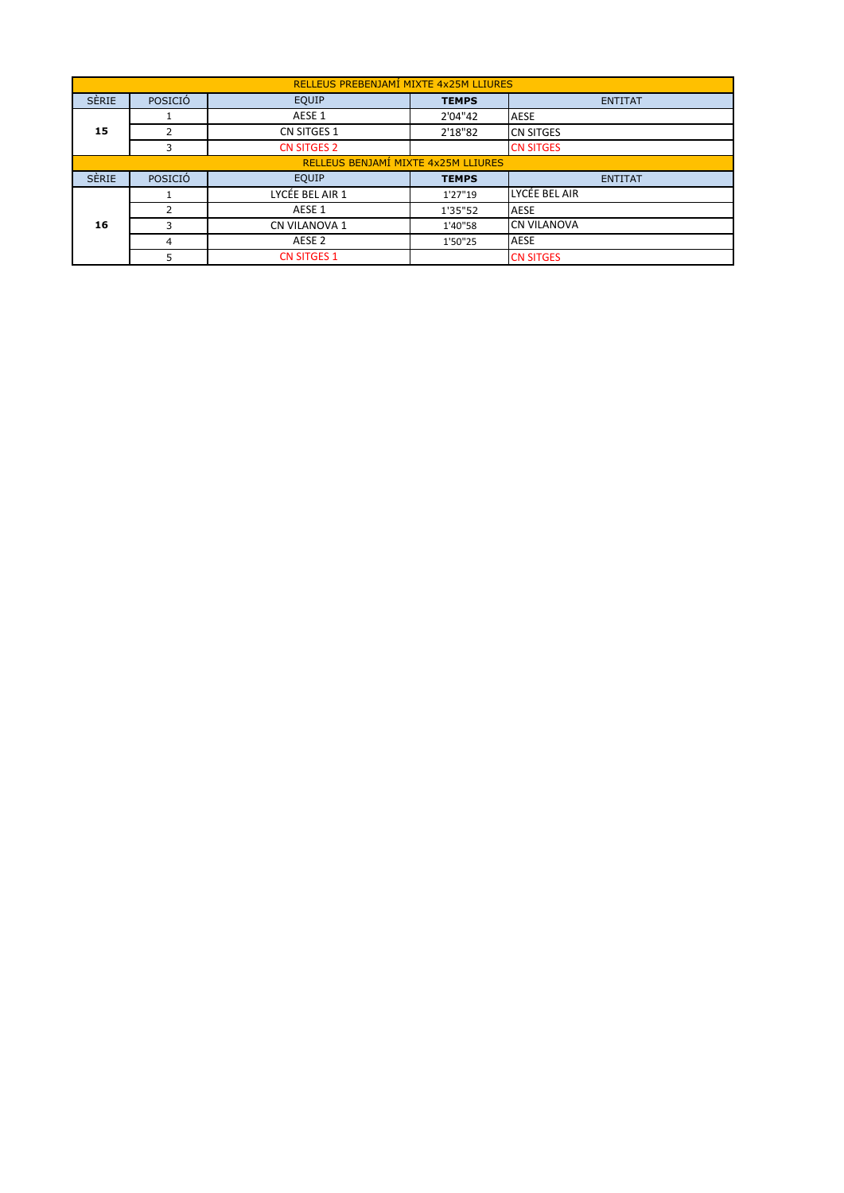| RELLEUS PREBENJAMÍ MIXTE 4x25M LLIURES |                                     |                      |              |                    |  |  |  |  |
|----------------------------------------|-------------------------------------|----------------------|--------------|--------------------|--|--|--|--|
| <b>SÈRIE</b>                           | POSICIÓ                             | EQUIP                | <b>TEMPS</b> | <b>ENTITAT</b>     |  |  |  |  |
|                                        |                                     | AESE 1               | 2'04"42      | <b>AESE</b>        |  |  |  |  |
| 15                                     | 2                                   | <b>CN SITGES 1</b>   | 2'18"82      | <b>CN SITGES</b>   |  |  |  |  |
|                                        | 3                                   | <b>CN SITGES 2</b>   |              | <b>CN SITGES</b>   |  |  |  |  |
|                                        | RELLEUS BENJAMÍ MIXTE 4x25M LLIURES |                      |              |                    |  |  |  |  |
| <b>SÈRIE</b>                           | POSICIÓ                             | <b>EQUIP</b>         | <b>TEMPS</b> | <b>ENTITAT</b>     |  |  |  |  |
|                                        |                                     | LYCÉE BEL AIR 1      | 1'27"19      | LYCÉE BEL AIR      |  |  |  |  |
|                                        | 2                                   | AESE 1               | 1'35"52      | <b>AESE</b>        |  |  |  |  |
| 16                                     | 3                                   | <b>CN VILANOVA 1</b> | 1'40"58      | <b>CN VILANOVA</b> |  |  |  |  |
|                                        | $\overline{4}$                      | AESE <sub>2</sub>    | 1'50"25      | <b>AESE</b>        |  |  |  |  |
|                                        | 5                                   | <b>CN SITGES 1</b>   |              | <b>CN SITGES</b>   |  |  |  |  |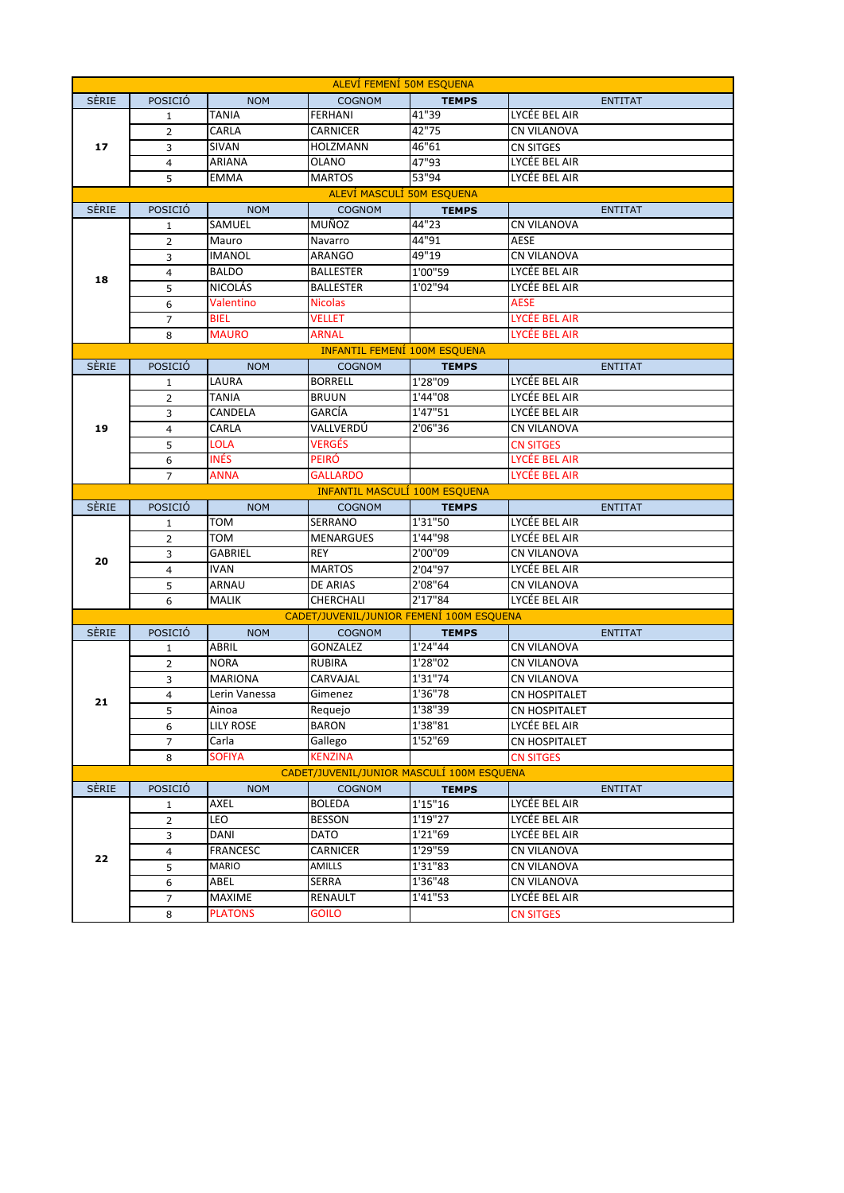| <b>ALEVI FEMENI 50M ESQUENA</b> |                |                          |                                           |              |                      |  |  |  |
|---------------------------------|----------------|--------------------------|-------------------------------------------|--------------|----------------------|--|--|--|
| <b>SERIE</b>                    | POSICIÓ        | <b>NOM</b>               | <b>COGNOM</b>                             | <b>TEMPS</b> | <b>ENTITAT</b>       |  |  |  |
|                                 | $\mathbf{1}$   | TANIA                    | FERHANI                                   | 41"39        | LYCÉE BEL AIR        |  |  |  |
|                                 | $\overline{2}$ | CARLA                    | CARNICER                                  | 42"75        | CN VILANOVA          |  |  |  |
| 17                              | 3              | SIVAN                    | <b>HOLZMANN</b>                           | 46"61        | CN SITGES            |  |  |  |
|                                 | 4              | ARIANA                   | OLANO                                     | 47"93        | LYCÉE BEL AIR        |  |  |  |
|                                 | 5              | EMMA                     | MARTOS                                    | 53"94        | LYCÉE BEL AIR        |  |  |  |
| ALEVÍ MASCULÍ 50M ESQUENA       |                |                          |                                           |              |                      |  |  |  |
| <b>SERIE</b>                    | POSICIÓ        | <b>NOM</b>               | <b>COGNOM</b>                             | <b>TEMPS</b> | <b>ENTITAT</b>       |  |  |  |
|                                 | $\mathbf{1}$   | SAMUEL                   | MUÑOZ                                     | 44"23        | <b>CN VILANOVA</b>   |  |  |  |
|                                 | $\overline{2}$ | Mauro                    | Navarro                                   | 44"91        | <b>AESE</b>          |  |  |  |
|                                 | 3              | <b>IMANOL</b>            | <b>ARANGO</b>                             | 49"19        | <b>CN VILANOVA</b>   |  |  |  |
|                                 | 4              | <b>BALDO</b>             | <b>BALLESTER</b>                          | 1'00"59      | LYCÉE BEL AIR        |  |  |  |
| 18                              | 5              | NICOLÁS                  | BALLESTER                                 | 1'02"94      | LYCÉE BEL AIR        |  |  |  |
|                                 | 6              | Valentino                | <b>Nicolas</b>                            |              | AESE                 |  |  |  |
|                                 | $\overline{7}$ | <b>BIEL</b>              | VELLET                                    |              | LYCÉE BEL AIR        |  |  |  |
|                                 | 8              | <b>MAURO</b>             | ARNAL                                     |              | LYCÉE BEL AIR        |  |  |  |
|                                 |                |                          | <b>INFANTIL FEMENI 100M ESQUENA</b>       |              |                      |  |  |  |
| <b>SÈRIE</b>                    | POSICIÓ        | <b>NOM</b>               | <b>COGNOM</b>                             | <b>TEMPS</b> | <b>ENTITAT</b>       |  |  |  |
|                                 | $\mathbf{1}$   | LAURA                    | <b>BORRELL</b>                            | 1'28"09      | LYCÉE BEL AIR        |  |  |  |
|                                 | $\overline{2}$ | TANIA                    | BRUUN                                     | 1'44"08      | LYCÉE BEL AIR        |  |  |  |
|                                 | 3              | CANDELA                  | GARCÍA                                    | 1'47"51      | LYCÉE BEL AIR        |  |  |  |
| 19                              | $\overline{4}$ | CARLA                    | VALLVERDÚ                                 | 2'06"36      | <b>CN VILANOVA</b>   |  |  |  |
|                                 | 5              | <b>LOLA</b>              | VERGÉS                                    |              | <b>CN SITGES</b>     |  |  |  |
|                                 | 6              | <b>INÉS</b>              | PEIRÓ                                     |              | LYCÉE BEL AIR        |  |  |  |
|                                 | $\overline{7}$ | ANNA                     | GALLARDO                                  |              | LYCÉE BEL AIR        |  |  |  |
|                                 |                |                          | <b>INFANTIL MASCULI 100M ESQUENA</b>      |              |                      |  |  |  |
|                                 |                |                          |                                           |              |                      |  |  |  |
| <b>SÈRIE</b>                    | POSICIÓ        | <b>NOM</b>               | <b>COGNOM</b>                             | <b>TEMPS</b> | <b>ENTITAT</b>       |  |  |  |
|                                 | $\mathbf{1}$   | TOM                      | SERRANO                                   | 1'31"50      | LYCÉE BEL AIR        |  |  |  |
|                                 | $\overline{2}$ | том                      | <b>MENARGUES</b>                          | 1'44"98      | LYCÉE BEL AIR        |  |  |  |
|                                 | 3              | GABRIEL                  | <b>REY</b>                                | 2'00"09      | <b>CN VILANOVA</b>   |  |  |  |
| 20                              | $\overline{4}$ | IVAN                     | <b>MARTOS</b>                             | 2'04"97      | LYCÉE BEL AIR        |  |  |  |
|                                 | 5              | ARNAU                    | <b>DE ARIAS</b>                           | 2'08"64      | <b>CN VILANOVA</b>   |  |  |  |
|                                 | 6              | <b>MALIK</b>             | CHERCHALI                                 | 2'17"84      | LYCÉE BEL AIR        |  |  |  |
|                                 |                |                          | CADET/JUVENIL/JUNIOR FEMENÍ 100M ESQUENA  |              |                      |  |  |  |
| SÈRIE                           | POSICIÓ        | <b>NOM</b>               | <b>COGNOM</b>                             | <b>TEMPS</b> | <b>ENTITAT</b>       |  |  |  |
|                                 | $\mathbf{1}$   | ABRIL                    | GONZALEZ                                  | 1'24"44      | <b>CN VILANOVA</b>   |  |  |  |
|                                 | $\overline{2}$ | <b>NORA</b>              | <b>RUBIRA</b>                             | 1'28"02      | <b>CN VILANOVA</b>   |  |  |  |
|                                 | 3              | <b>MARIONA</b>           | CARVAJAL                                  | 1'31"74      | CN VILANOVA          |  |  |  |
|                                 | $\overline{4}$ | Lerin Vanessa            | Gimenez                                   | 1'36"78      | <b>CN HOSPITALET</b> |  |  |  |
| 21                              | $\overline{5}$ | Ainoa                    | Requejo                                   | 1'38"39      | <b>CN HOSPITALET</b> |  |  |  |
|                                 | 6              | <b>LILY ROSE</b>         | BARON                                     | 1'38"81      | LYCÉE BEL AIR        |  |  |  |
|                                 | 7              | Carla                    | Gallego                                   | 1'52"69      | <b>CN HOSPITALET</b> |  |  |  |
|                                 | 8              | <b>SOFIYA</b>            | <b>KENZINA</b>                            |              | <b>CN SITGES</b>     |  |  |  |
|                                 |                |                          | CADET/JUVENIL/JUNIOR MASCULI 100M ESQUENA |              |                      |  |  |  |
| <b>SERIE</b>                    | POSICIÓ        | <b>NOM</b>               | <b>COGNOM</b>                             | <b>TEMPS</b> | <b>ENTITAT</b>       |  |  |  |
|                                 | $\mathbf{1}$   | AXEL                     | BOLEDA                                    | 1'15"16      | LYCÉE BEL AIR        |  |  |  |
|                                 | $\overline{2}$ | LEO                      | <b>BESSON</b>                             | 1'19''27     | LYCÉE BEL AIR        |  |  |  |
|                                 | 3              | DANI                     | DATO                                      | 1'21"69      | LYCÉE BEL AIR        |  |  |  |
|                                 | 4              | <b>FRANCESC</b>          | CARNICER                                  | 1'29"59      | <b>CN VILANOVA</b>   |  |  |  |
| 22                              | 5              | <b>MARIO</b>             | AMILLS                                    | 1'31"83      | CN VILANOVA          |  |  |  |
|                                 | 6              | ABEL                     | SERRA                                     | 1'36"48      | <b>CN VILANOVA</b>   |  |  |  |
|                                 | 7<br>$\bf 8$   | MAXIME<br><b>PLATONS</b> | RENAULT<br><b>GOILO</b>                   | 1'41"53      | LYCÉE BEL AIR        |  |  |  |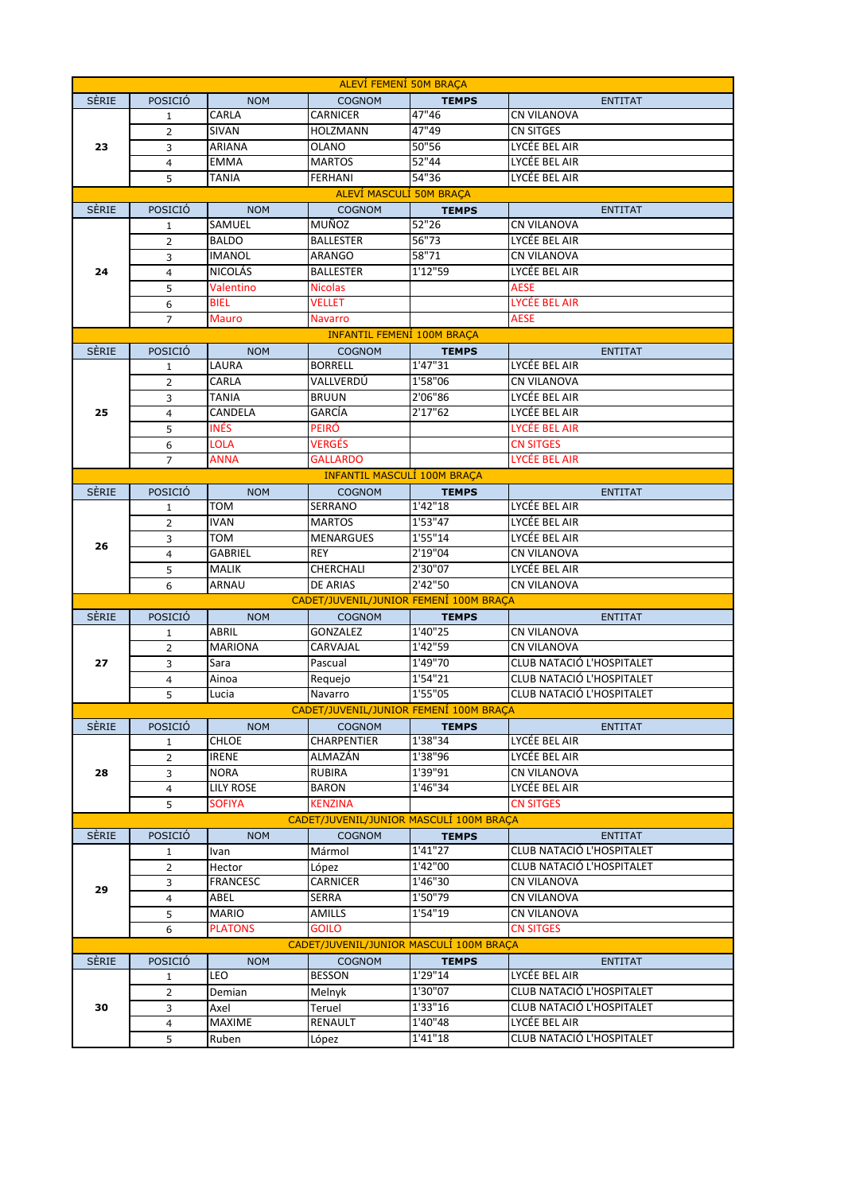| ALEVÍ FEMENÍ 50M BRACA |                |                |                                         |              |                           |  |
|------------------------|----------------|----------------|-----------------------------------------|--------------|---------------------------|--|
| <b>SERIE</b>           | POSICIÓ        | <b>NOM</b>     | <b>COGNOM</b>                           | <b>TEMPS</b> | <b>ENTITAT</b>            |  |
|                        | $\mathbf{1}$   | CARLA          | CARNICER                                | 47"46        | <b>CN VILANOVA</b>        |  |
| 23                     | $\overline{2}$ | SIVAN          | <b>HOLZMANN</b>                         | 47"49        | CN SITGES                 |  |
|                        | 3              | ARIANA         | OLANO                                   | 50"56        | LYCÉE BEL AIR             |  |
|                        | 4              | <b>EMMA</b>    | <b>MARTOS</b>                           | 52"44        | LYCÉE BEL AIR             |  |
|                        | 5              | TANIA          | <b>FERHANI</b>                          | 54"36        | LYCÉE BEL AIR             |  |
|                        |                |                | <b>ALEVI MASCULI 50M BRAÇA</b>          |              |                           |  |
| <b>SERIE</b>           | POSICIÓ        | <b>NOM</b>     | <b>COGNOM</b>                           | <b>TEMPS</b> | <b>ENTITAT</b>            |  |
|                        | $\mathbf{1}$   | SAMUEL         | MUÑOZ                                   | 52"26        | <b>CN VILANOVA</b>        |  |
|                        | $\overline{2}$ | <b>BALDO</b>   | <b>BALLESTER</b>                        | 56''73       | LYCÉE BEL AIR             |  |
|                        | 3              | IMANOL         | ARANGO                                  | 58"71        | <b>CN VILANOVA</b>        |  |
| 24                     | 4              | NICOLÁS        | BALLESTER                               | 1'12"59      | LYCÉE BEL AIR             |  |
|                        | 5              | Valentino      | <b>Nicolas</b>                          |              | <b>AESE</b>               |  |
|                        | 6              | <b>BIEL</b>    | <b>VELLET</b>                           |              | LYCÉE BEL AIR             |  |
|                        |                | <b>Mauro</b>   |                                         |              | <b>AESE</b>               |  |
|                        | $\overline{7}$ |                | <b>Navarro</b>                          |              |                           |  |
|                        |                |                | <b>INFANTIL FEMENI 100M BRAÇA</b>       |              |                           |  |
| <b>SERIE</b>           | POSICIÓ        | <b>NOM</b>     | <b>COGNOM</b>                           | <b>TEMPS</b> | <b>ENTITAT</b>            |  |
|                        | $\mathbf{1}$   | LAURA          | <b>BORRELL</b>                          | 1'47"31      | LYCÉE BEL AIR             |  |
|                        | $\overline{2}$ | CARLA          | VALLVERDÚ                               | 1'58"06      | <b>CN VILANOVA</b>        |  |
|                        | 3              | TANIA          | <b>BRUUN</b>                            | 2'06"86      | LYCÉE BEL AIR             |  |
| 25                     | $\overline{4}$ | CANDELA        | GARCÍA                                  | 2'17"62      | LYCÉE BEL AIR             |  |
|                        | 5              | <b>INÉS</b>    | PEIRÓ                                   |              | LYCÉE BEL AIR             |  |
|                        | 6              | <b>LOLA</b>    | VERGÉS                                  |              | <b>CN SITGES</b>          |  |
|                        | $\overline{7}$ | <b>ANNA</b>    | GALLARDO                                |              | LYCÉE BEL AIR             |  |
|                        |                |                | <b>INFANTIL MASCULÍ 100M BRACA</b>      |              |                           |  |
| <b>SERIE</b>           | POSICIÓ        | <b>NOM</b>     | <b>COGNOM</b>                           | <b>TEMPS</b> | <b>ENTITAT</b>            |  |
|                        | $\mathbf{1}$   | TOM            | SERRANO                                 | 1'42"18      | LYCÉE BEL AIR             |  |
|                        | $\overline{2}$ | <b>IVAN</b>    | <b>MARTOS</b>                           | 1'53"47      | LYCÉE BEL AIR             |  |
| 26                     | 3              | том            | <b>MENARGUES</b>                        | 1'55"14      | LYCÉE BEL AIR             |  |
|                        | 4              | GABRIEL        | <b>REY</b>                              | 2'19"04      | <b>CN VILANOVA</b>        |  |
|                        |                |                |                                         |              |                           |  |
|                        | 5              | MALIK          | CHERCHALI                               | 2'30"07      | LYCÉE BEL AIR             |  |
|                        | 6              | ARNAU          | DE ARIAS                                | 2'42"50      | <b>CN VILANOVA</b>        |  |
|                        |                |                | CADET/JUVENIL/JUNIOR FEMENÍ 100M BRAÇA  |              |                           |  |
| <b>SERIE</b>           | POSICIÓ        | <b>NOM</b>     | <b>COGNOM</b>                           | <b>TEMPS</b> | <b>ENTITAT</b>            |  |
|                        | $\mathbf{1}$   | ABRIL          | GONZALEZ                                | 1'40"25      | <b>CN VILANOVA</b>        |  |
|                        | $\overline{2}$ | <b>MARIONA</b> | CARVAJAL                                | 1'42"59      | CN VILANOVA               |  |
| 27                     | 3              | Sara           | Pascual                                 | 1'49"70      | CLUB NATACIÓ L'HOSPITALET |  |
|                        | 4              | Ainoa          | Requejo                                 | 1'54"21      | CLUB NATACIÓ L'HOSPITALET |  |
|                        | 5              | Lucia          | Navarro                                 | 1'55"05      | CLUB NATACIÓ L'HOSPITALET |  |
|                        |                |                | CADET/JUVENIL/JUNIOR FEMENÍ 100M BRAÇA  |              |                           |  |
| <b>SERIE</b>           | POSICIÓ        | <b>NOM</b>     | <b>COGNOM</b>                           | <b>TEMPS</b> | <b>ENTITAT</b>            |  |
|                        | 1              | CHLOE          | <b>CHARPENTIER</b>                      | 1'38"34      | LYCÉE BEL AIR             |  |
|                        | $\overline{2}$ | IRENE          | ALMAZÁN                                 | 1'38"96      | LYCÉE BEL AIR             |  |
| 28                     | 3              | NORA           | <b>RUBIRA</b>                           | 1'39"91      | <b>CN VILANOVA</b>        |  |
|                        | $\overline{4}$ | LILY ROSE      | BARON                                   | 1'46"34      | LYCÉE BEL AIR             |  |
|                        | 5              | <b>SOFIYA</b>  | <b>KENZINA</b>                          |              | <b>CN SITGES</b>          |  |
|                        |                |                | CADET/JUVENIL/JUNIOR MASCULÍ 100M BRACA |              |                           |  |
| <b>SERIE</b>           | POSICIÓ        | <b>NOM</b>     | <b>COGNOM</b>                           | <b>TEMPS</b> | <b>ENTITAT</b>            |  |
|                        | $\mathbf{1}$   | Ivan           | Mármol                                  | 1'41"27      | CLUB NATACIÓ L'HOSPITALET |  |
|                        | $\overline{2}$ | Hector         | López                                   | 1'42"00      | CLUB NATACIÓ L'HOSPITALET |  |
|                        | 3              | FRANCESC       | CARNICER                                | 1'46"30      | <b>CN VILANOVA</b>        |  |
| 29                     | $\overline{4}$ | ABEL           | SERRA                                   | 1'50"79      | CN VILANOVA               |  |
|                        | 5              | <b>MARIO</b>   | AMILLS                                  | 1'54"19      | CN VILANOVA               |  |
|                        | 6              | <b>PLATONS</b> | <b>GOILO</b>                            |              | <b>CN SITGES</b>          |  |
|                        |                |                | CADET/JUVENIL/JUNIOR MASCULI 100M BRAÇA |              |                           |  |
| <b>SERIE</b>           | POSICIÓ        | <b>NOM</b>     | <b>COGNOM</b>                           | <b>TEMPS</b> | <b>ENTITAT</b>            |  |
|                        | 1              | LEO            | <b>BESSON</b>                           | 1'29"14      | LYCÉE BEL AIR             |  |
|                        | $\overline{2}$ | Demian         | Melnyk                                  | 1'30"07      | CLUB NATACIÓ L'HOSPITALET |  |
| 30                     | 3              | Axel           | Teruel                                  | 1'33"16      | CLUB NATACIÓ L'HOSPITALET |  |
|                        | $\overline{4}$ | MAXIME         | RENAULT                                 | 1'40"48      | LYCÉE BEL AIR             |  |